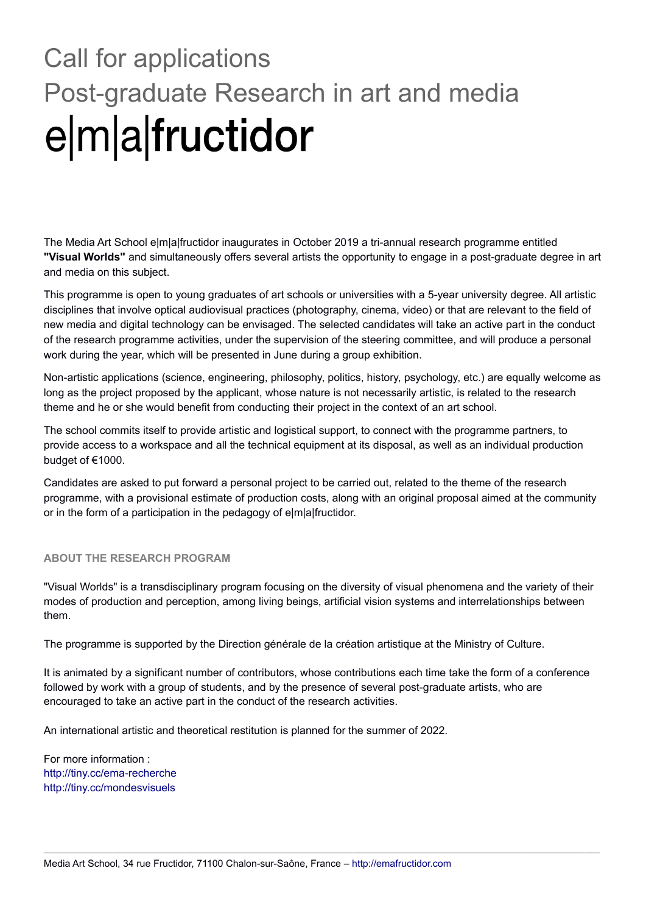# Call for applications Post-graduate Research in art and media e|m|a|fructidor

The Media Art School e|m|a|fructidor inaugurates in October 2019 a tri-annual research programme entitled **"Visual Worlds"** and simultaneously offers several artists the opportunity to engage in a post-graduate degree in art and media on this subject.

This programme is open to young graduates of art schools or universities with a 5-year university degree. All artistic disciplines that involve optical audiovisual practices (photography, cinema, video) or that are relevant to the field of new media and digital technology can be envisaged. The selected candidates will take an active part in the conduct of the research programme activities, under the supervision of the steering committee, and will produce a personal work during the year, which will be presented in June during a group exhibition.

Non-artistic applications (science, engineering, philosophy, politics, history, psychology, etc.) are equally welcome as long as the project proposed by the applicant, whose nature is not necessarily artistic, is related to the research theme and he or she would benefit from conducting their project in the context of an art school.

The school commits itself to provide artistic and logistical support, to connect with the programme partners, to provide access to a workspace and all the technical equipment at its disposal, as well as an individual production budget of €1000.

Candidates are asked to put forward a personal project to be carried out, related to the theme of the research programme, with a provisional estimate of production costs, along with an original proposal aimed at the community or in the form of a participation in the pedagogy of e|m|a|fructidor.

### **ABOUT THE RESEARCH PROGRAM**

"Visual Worlds" is a transdisciplinary program focusing on the diversity of visual phenomena and the variety of their modes of production and perception, among living beings, artificial vision systems and interrelationships between them.

The programme is supported by the Direction générale de la création artistique at the Ministry of Culture.

It is animated by a significant number of contributors, whose contributions each time take the form of a conference followed by work with a group of students, and by the presence of several post-graduate artists, who are encouraged to take an active part in the conduct of the research activities.

 $\_$  , and the state of the state of the state of the state of the state of the state of the state of the state of the state of the state of the state of the state of the state of the state of the state of the state of the

An international artistic and theoretical restitution is planned for the summer of 2022.

For more information : <http://tiny.cc/ema-recherche> <http://tiny.cc/mondesvisuels>